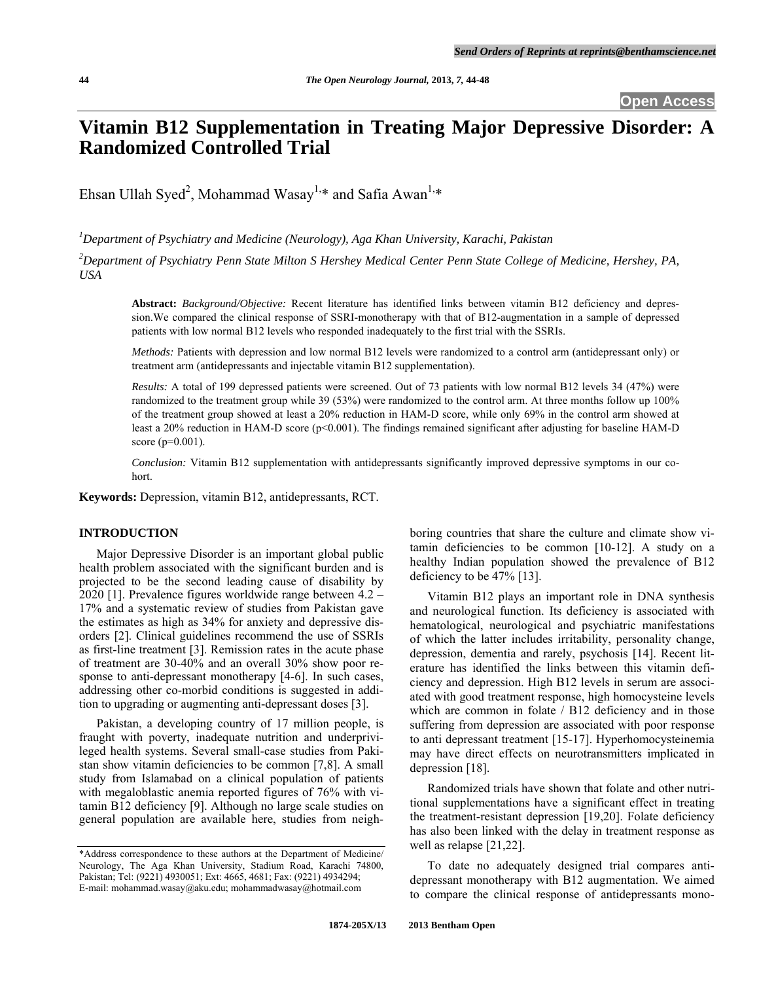# **Vitamin B12 Supplementation in Treating Major Depressive Disorder: A Randomized Controlled Trial**

Ehsan Ullah Syed<sup>2</sup>, Mohammad Wasay<sup>1,\*</sup> and Safia Awan<sup>1,\*</sup>

*1 Department of Psychiatry and Medicine (Neurology), Aga Khan University, Karachi, Pakistan* 

*2 Department of Psychiatry Penn State Milton S Hershey Medical Center Penn State College of Medicine, Hershey, PA, USA* 

**Abstract:** *Background/Objective:* Recent literature has identified links between vitamin B12 deficiency and depression.We compared the clinical response of SSRI-monotherapy with that of B12-augmentation in a sample of depressed patients with low normal B12 levels who responded inadequately to the first trial with the SSRIs.

*Methods:* Patients with depression and low normal B12 levels were randomized to a control arm (antidepressant only) or treatment arm (antidepressants and injectable vitamin B12 supplementation).

*Results:* A total of 199 depressed patients were screened. Out of 73 patients with low normal B12 levels 34 (47%) were randomized to the treatment group while 39 (53%) were randomized to the control arm. At three months follow up 100% of the treatment group showed at least a 20% reduction in HAM-D score, while only 69% in the control arm showed at least a 20% reduction in HAM-D score (p<0.001). The findings remained significant after adjusting for baseline HAM-D score (p=0.001).

*Conclusion:* Vitamin B12 supplementation with antidepressants significantly improved depressive symptoms in our cohort.

**Keywords:** Depression, vitamin B12, antidepressants, RCT.

# **INTRODUCTION**

 Major Depressive Disorder is an important global public health problem associated with the significant burden and is projected to be the second leading cause of disability by 2020 [1]. Prevalence figures worldwide range between 4.2 – 17% and a systematic review of studies from Pakistan gave the estimates as high as 34% for anxiety and depressive disorders [2]. Clinical guidelines recommend the use of SSRIs as first-line treatment [3]. Remission rates in the acute phase of treatment are 30-40% and an overall 30% show poor response to anti-depressant monotherapy [4-6]. In such cases, addressing other co-morbid conditions is suggested in addition to upgrading or augmenting anti-depressant doses [3].

 Pakistan, a developing country of 17 million people, is fraught with poverty, inadequate nutrition and underprivileged health systems. Several small-case studies from Pakistan show vitamin deficiencies to be common [7,8]. A small study from Islamabad on a clinical population of patients with megaloblastic anemia reported figures of 76% with vitamin B12 deficiency [9]. Although no large scale studies on general population are available here, studies from neighboring countries that share the culture and climate show vitamin deficiencies to be common [10-12]. A study on a healthy Indian population showed the prevalence of B12 deficiency to be 47% [13].

 Vitamin B12 plays an important role in DNA synthesis and neurological function. Its deficiency is associated with hematological, neurological and psychiatric manifestations of which the latter includes irritability, personality change, depression, dementia and rarely, psychosis [14]. Recent literature has identified the links between this vitamin deficiency and depression. High B12 levels in serum are associated with good treatment response, high homocysteine levels which are common in folate / B12 deficiency and in those suffering from depression are associated with poor response to anti depressant treatment [15-17]. Hyperhomocysteinemia may have direct effects on neurotransmitters implicated in depression [18].

 Randomized trials have shown that folate and other nutritional supplementations have a significant effect in treating the treatment-resistant depression [19,20]. Folate deficiency has also been linked with the delay in treatment response as well as relapse [21,22].

 To date no adequately designed trial compares antidepressant monotherapy with B12 augmentation. We aimed to compare the clinical response of antidepressants mono-

<sup>\*</sup>Address correspondence to these authors at the Department of Medicine/ Neurology, The Aga Khan University, Stadium Road, Karachi 74800, Pakistan; Tel: (9221) 4930051; Ext: 4665, 4681; Fax: (9221) 4934294; E-mail: mohammad.wasay@aku.edu; mohammadwasay@hotmail.com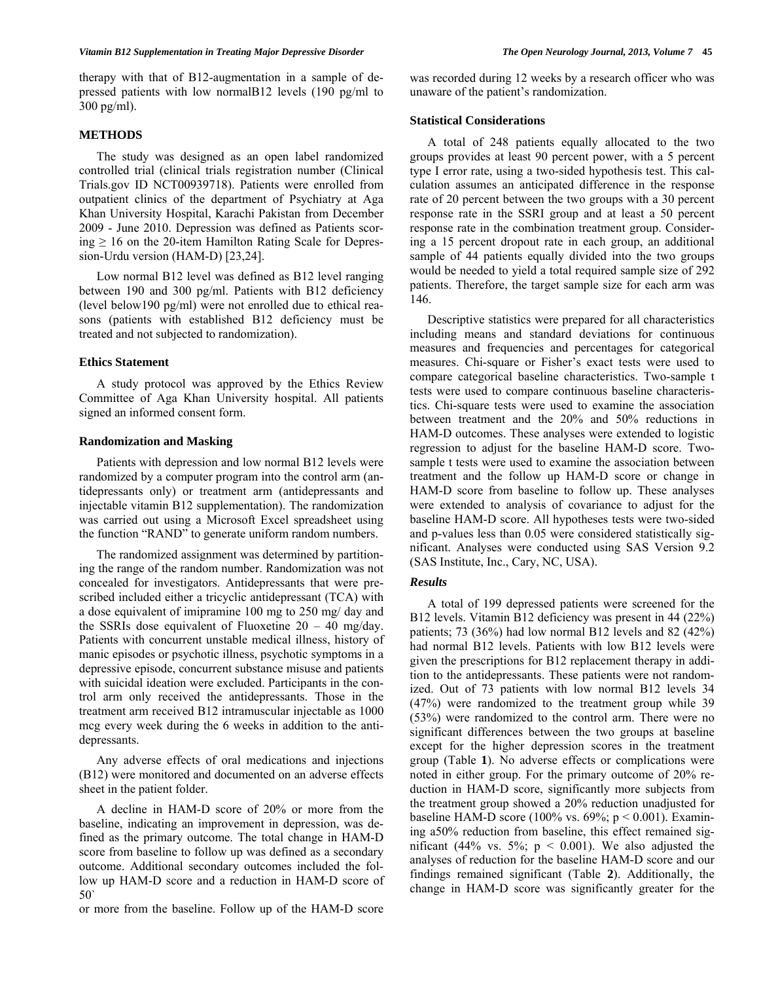therapy with that of B12-augmentation in a sample of depressed patients with low normalB12 levels (190 pg/ml to 300 pg/ml).

# **METHODS**

 The study was designed as an open label randomized controlled trial (clinical trials registration number (Clinical Trials.gov ID NCT00939718). Patients were enrolled from outpatient clinics of the department of Psychiatry at Aga Khan University Hospital, Karachi Pakistan from December 2009 - June 2010. Depression was defined as Patients scoring  $\geq 16$  on the 20-item Hamilton Rating Scale for Depression-Urdu version (HAM-D) [23,24].

 Low normal B12 level was defined as B12 level ranging between 190 and 300 pg/ml. Patients with B12 deficiency (level below190 pg/ml) were not enrolled due to ethical reasons (patients with established B12 deficiency must be treated and not subjected to randomization).

#### **Ethics Statement**

 A study protocol was approved by the Ethics Review Committee of Aga Khan University hospital. All patients signed an informed consent form.

# **Randomization and Masking**

 Patients with depression and low normal B12 levels were randomized by a computer program into the control arm (antidepressants only) or treatment arm (antidepressants and injectable vitamin B12 supplementation). The randomization was carried out using a Microsoft Excel spreadsheet using the function "RAND" to generate uniform random numbers.

 The randomized assignment was determined by partitioning the range of the random number. Randomization was not concealed for investigators. Antidepressants that were prescribed included either a tricyclic antidepressant (TCA) with a dose equivalent of imipramine 100 mg to 250 mg/ day and the SSRIs dose equivalent of Fluoxetine  $20 - 40$  mg/day. Patients with concurrent unstable medical illness, history of manic episodes or psychotic illness, psychotic symptoms in a depressive episode, concurrent substance misuse and patients with suicidal ideation were excluded. Participants in the control arm only received the antidepressants. Those in the treatment arm received B12 intramuscular injectable as 1000 mcg every week during the 6 weeks in addition to the antidepressants.

 Any adverse effects of oral medications and injections (B12) were monitored and documented on an adverse effects sheet in the patient folder.

 A decline in HAM-D score of 20% or more from the baseline, indicating an improvement in depression, was defined as the primary outcome. The total change in HAM-D score from baseline to follow up was defined as a secondary outcome. Additional secondary outcomes included the follow up HAM-D score and a reduction in HAM-D score of 50`

or more from the baseline. Follow up of the HAM-D score

was recorded during 12 weeks by a research officer who was unaware of the patient's randomization.

# **Statistical Considerations**

 A total of 248 patients equally allocated to the two groups provides at least 90 percent power, with a 5 percent type I error rate, using a two-sided hypothesis test. This calculation assumes an anticipated difference in the response rate of 20 percent between the two groups with a 30 percent response rate in the SSRI group and at least a 50 percent response rate in the combination treatment group. Considering a 15 percent dropout rate in each group, an additional sample of 44 patients equally divided into the two groups would be needed to yield a total required sample size of 292 patients. Therefore, the target sample size for each arm was 146.

 Descriptive statistics were prepared for all characteristics including means and standard deviations for continuous measures and frequencies and percentages for categorical measures. Chi-square or Fisher's exact tests were used to compare categorical baseline characteristics. Two-sample t tests were used to compare continuous baseline characteristics. Chi-square tests were used to examine the association between treatment and the 20% and 50% reductions in HAM-D outcomes. These analyses were extended to logistic regression to adjust for the baseline HAM-D score. Twosample t tests were used to examine the association between treatment and the follow up HAM-D score or change in HAM-D score from baseline to follow up. These analyses were extended to analysis of covariance to adjust for the baseline HAM-D score. All hypotheses tests were two-sided and p-values less than 0.05 were considered statistically significant. Analyses were conducted using SAS Version 9.2 (SAS Institute, Inc., Cary, NC, USA).

# *Results*

 A total of 199 depressed patients were screened for the B12 levels. Vitamin B12 deficiency was present in 44 (22%) patients; 73 (36%) had low normal B12 levels and 82 (42%) had normal B12 levels. Patients with low B12 levels were given the prescriptions for B12 replacement therapy in addition to the antidepressants. These patients were not randomized. Out of 73 patients with low normal B12 levels 34 (47%) were randomized to the treatment group while 39 (53%) were randomized to the control arm. There were no significant differences between the two groups at baseline except for the higher depression scores in the treatment group (Table **1**). No adverse effects or complications were noted in either group. For the primary outcome of 20% reduction in HAM-D score, significantly more subjects from the treatment group showed a 20% reduction unadjusted for baseline HAM-D score (100% vs. 69%;  $p < 0.001$ ). Examining a50% reduction from baseline, this effect remained significant (44% vs. 5%;  $p < 0.001$ ). We also adjusted the analyses of reduction for the baseline HAM-D score and our findings remained significant (Table **2**). Additionally, the change in HAM-D score was significantly greater for the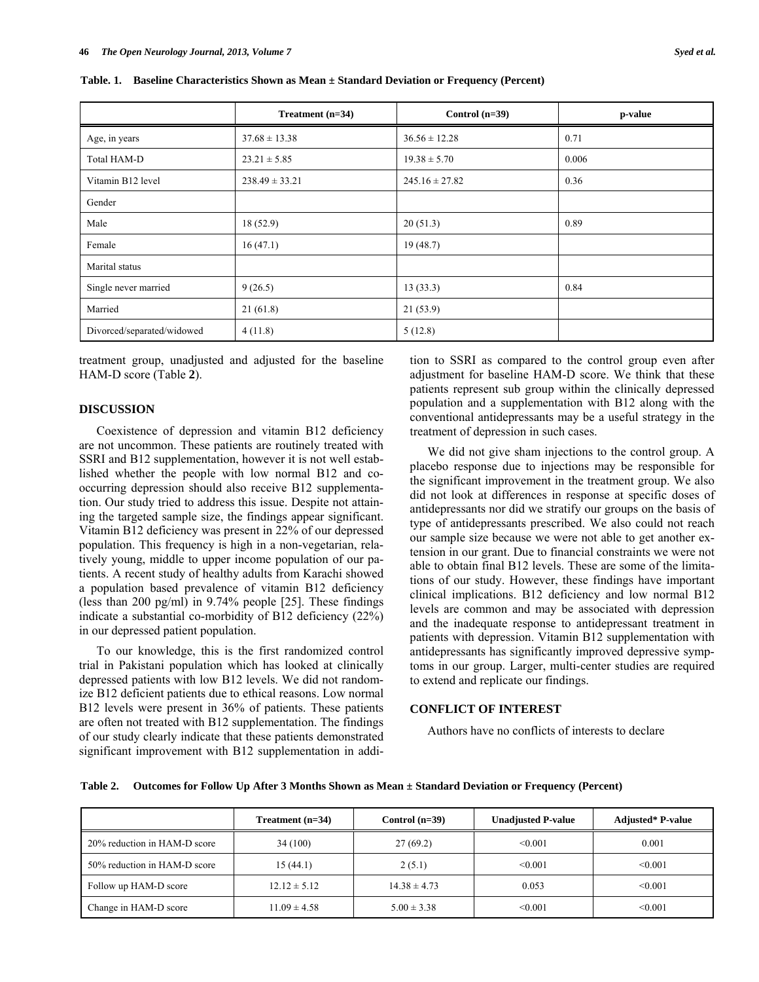|                            | Treatment $(n=34)$ | Control $(n=39)$   | p-value |
|----------------------------|--------------------|--------------------|---------|
| Age, in years              | $37.68 \pm 13.38$  | $36.56 \pm 12.28$  | 0.71    |
| Total HAM-D                | $23.21 \pm 5.85$   | $19.38 \pm 5.70$   | 0.006   |
| Vitamin B12 level          | $238.49 \pm 33.21$ | $245.16 \pm 27.82$ | 0.36    |
| Gender                     |                    |                    |         |
| Male                       | 18(52.9)           | 20(51.3)           | 0.89    |
| Female                     | 16(47.1)           | 19(48.7)           |         |
| Marital status             |                    |                    |         |
| Single never married       | 9(26.5)            | 13(33.3)           | 0.84    |
| Married                    | 21(61.8)           | 21(53.9)           |         |
| Divorced/separated/widowed | 4(11.8)            | 5(12.8)            |         |

**Table. 1. Baseline Characteristics Shown as Mean ± Standard Deviation or Frequency (Percent)** 

treatment group, unadjusted and adjusted for the baseline HAM-D score (Table **2**).

# **DISCUSSION**

 Coexistence of depression and vitamin B12 deficiency are not uncommon. These patients are routinely treated with SSRI and B12 supplementation, however it is not well established whether the people with low normal B12 and cooccurring depression should also receive B12 supplementation. Our study tried to address this issue. Despite not attaining the targeted sample size, the findings appear significant. Vitamin B12 deficiency was present in 22% of our depressed population. This frequency is high in a non-vegetarian, relatively young, middle to upper income population of our patients. A recent study of healthy adults from Karachi showed a population based prevalence of vitamin B12 deficiency (less than 200 pg/ml) in 9.74% people [25]. These findings indicate a substantial co-morbidity of B12 deficiency (22%) in our depressed patient population.

 To our knowledge, this is the first randomized control trial in Pakistani population which has looked at clinically depressed patients with low B12 levels. We did not randomize B12 deficient patients due to ethical reasons. Low normal B12 levels were present in 36% of patients. These patients are often not treated with B12 supplementation. The findings of our study clearly indicate that these patients demonstrated significant improvement with B12 supplementation in addition to SSRI as compared to the control group even after adjustment for baseline HAM-D score. We think that these patients represent sub group within the clinically depressed population and a supplementation with B12 along with the conventional antidepressants may be a useful strategy in the treatment of depression in such cases.

 We did not give sham injections to the control group. A placebo response due to injections may be responsible for the significant improvement in the treatment group. We also did not look at differences in response at specific doses of antidepressants nor did we stratify our groups on the basis of type of antidepressants prescribed. We also could not reach our sample size because we were not able to get another extension in our grant. Due to financial constraints we were not able to obtain final B12 levels. These are some of the limitations of our study. However, these findings have important clinical implications. B12 deficiency and low normal B12 levels are common and may be associated with depression and the inadequate response to antidepressant treatment in patients with depression. Vitamin B12 supplementation with antidepressants has significantly improved depressive symptoms in our group. Larger, multi-center studies are required to extend and replicate our findings.

# **CONFLICT OF INTEREST**

Authors have no conflicts of interests to declare

| Table 2. Outcomes for Follow Up After 3 Months Shown as Mean ± Standard Deviation or Frequency (Percent) |  |  |
|----------------------------------------------------------------------------------------------------------|--|--|
|                                                                                                          |  |  |

|                              | Treatment $(n=34)$ | Control $(n=39)$ | <b>Unadjusted P-value</b> | <b>Adjusted*</b> P-value |
|------------------------------|--------------------|------------------|---------------------------|--------------------------|
| 20% reduction in HAM-D score | 34 (100)           | 27(69.2)         | $\leq 0.001$              | 0.001                    |
| 50% reduction in HAM-D score | 15(44.1)           | 2(5.1)           | < 0.001                   | < 0.001                  |
| Follow up HAM-D score        | $12.12 \pm 5.12$   | $14.38 \pm 4.73$ | 0.053                     | < 0.001                  |
| Change in HAM-D score        | $11.09 \pm 4.58$   | $5.00 \pm 3.38$  | < 0.001                   | < 0.001                  |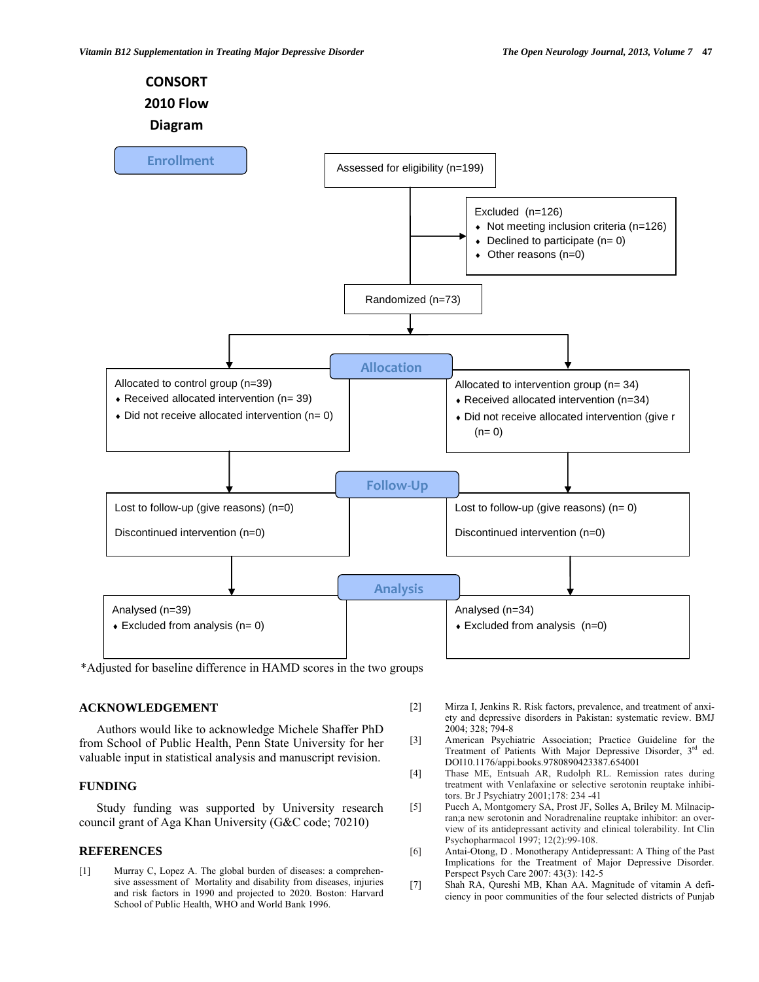

\*Adjusted for baseline difference in HAMD scores in the two groups

# **ACKNOWLEDGEMENT**

 Authors would like to acknowledge Michele Shaffer PhD from School of Public Health, Penn State University for her valuable input in statistical analysis and manuscript revision.

# **FUNDING**

 Study funding was supported by University research council grant of Aga Khan University (G&C code; 70210)

# **REFERENCES**

[1] Murray C, Lopez A. The global burden of diseases: a comprehensive assessment of Mortality and disability from diseases, injuries and risk factors in 1990 and projected to 2020. Boston: Harvard School of Public Health, WHO and World Bank 1996.

- [2] Mirza I, Jenkins R. Risk factors, prevalence, and treatment of anxiety and depressive disorders in Pakistan: systematic review. BMJ 2004; 328; 794-8
- [3] American Psychiatric Association; Practice Guideline for the Treatment of Patients With Major Depressive Disorder, 3<sup>rd</sup> ed. DOI10.1176/appi.books.9780890423387.654001
- [4] Thase ME, Entsuah AR, Rudolph RL. Remission rates during treatment with Venlafaxine or selective serotonin reuptake inhibitors. Br J Psychiatry 2001;178: 234 -41
- [5] Puech A, Montgomery SA, Prost JF, Solles A, Briley M. Milnacipran;a new serotonin and Noradrenaline reuptake inhibitor: an overview of its antidepressant activity and clinical tolerability. Int Clin Psychopharmacol 1997; 12(2):99-108.
- [6] Antai-Otong, D . Monotherapy Antidepressant: A Thing of the Past Implications for the Treatment of Major Depressive Disorder. Perspect Psych Care 2007: 43(3): 142-5
- [7] Shah RA, Qureshi MB, Khan AA. Magnitude of vitamin A deficiency in poor communities of the four selected districts of Punjab